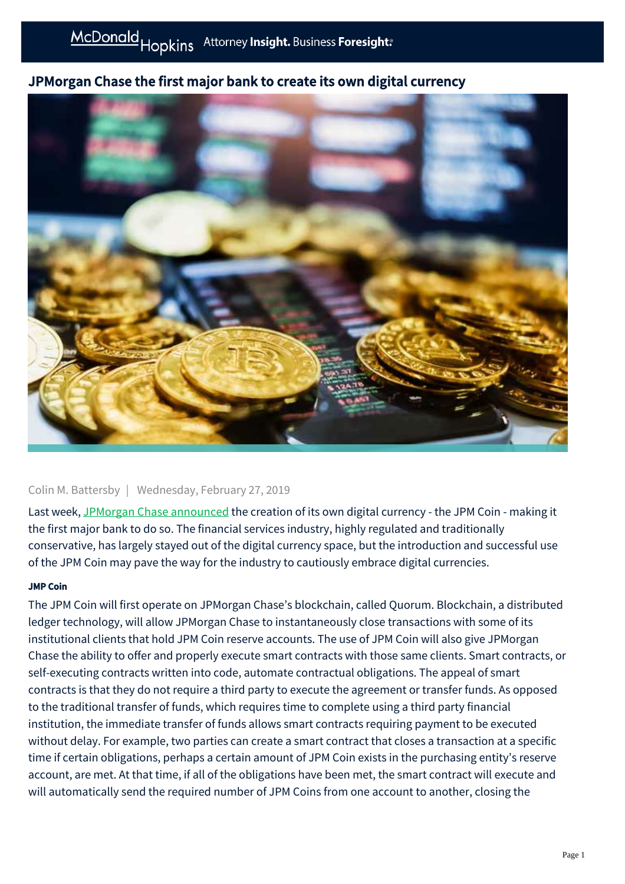## JPMorgan Chase the first major bank to create its own digital currency



## Colin M. Battersby | Wednesday, February 27, 2019

Last week, [JPMorgan Chase announced](https://www.jpmorgan.com/global/news/digital-coin-payments) the creation of its own digital currency - the JPM Coin - making it the first major bank to do so. The financial services industry, highly regulated and traditionally conservative, has largely stayed out of the digital currency space, but the introduction and successful use of the JPM Coin may pave the way for the industry to cautiously embrace digital currencies.

## JMP Coin

The JPM Coin will first operate on JPMorgan Chase's blockchain, called Quorum. Blockchain, a distributed ledger technology, will allow JPMorgan Chase to instantaneously close transactions with some of its institutional clients that hold JPM Coin reserve accounts. The use of JPM Coin will also give JPMorgan Chase the ability to offer and properly execute smart contracts with those same clients. Smart contracts, or self-executing contracts written into code, automate contractual obligations. The appeal of smart contracts is that they do not require a third party to execute the agreement or transfer funds. As opposed to the traditional transfer of funds, which requires time to complete using a third party financial institution, the immediate transfer of funds allows smart contracts requiring payment to be executed without delay. For example, two parties can create a smart contract that closes a transaction at a specific time if certain obligations, perhaps a certain amount of JPM Coin exists in the purchasing entity's reserve account, are met. At that time, if all of the obligations have been met, the smart contract will execute and will automatically send the required number of JPM Coins from one account to another, closing the